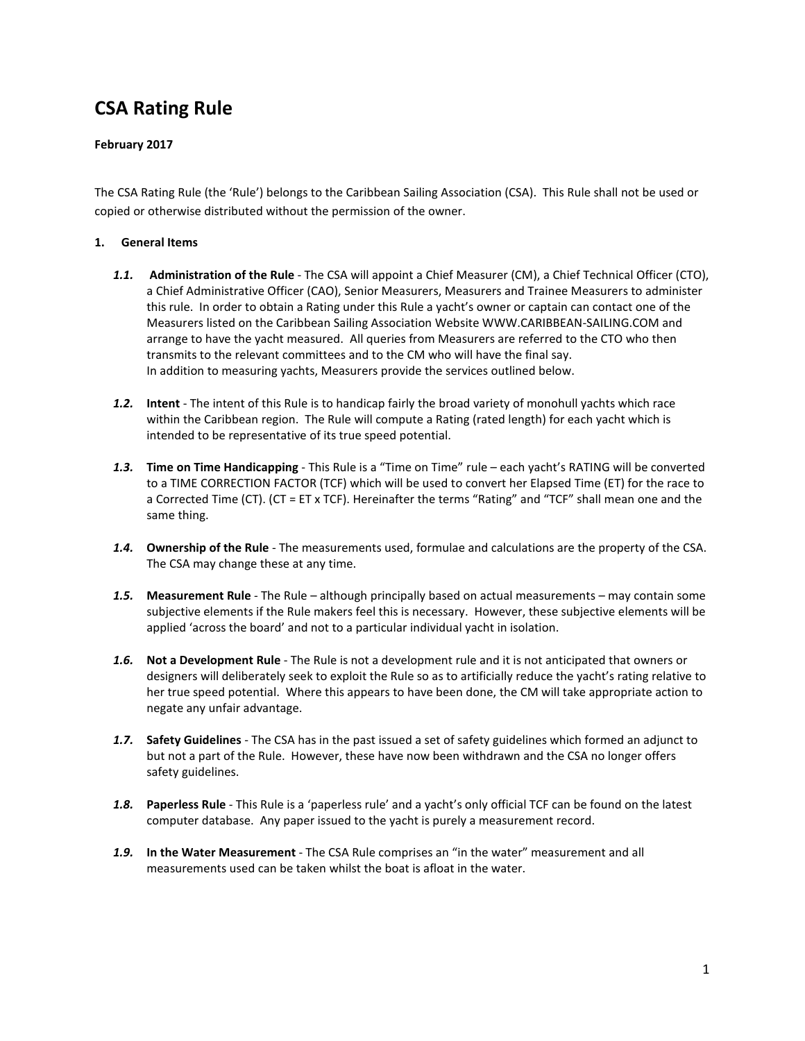# **CSA Rating Rule**

## **February 2017**

The CSA Rating Rule (the 'Rule') belongs to the Caribbean Sailing Association (CSA). This Rule shall not be used or copied or otherwise distributed without the permission of the owner.

## **1. General Items**

- *1.1.* **Administration of the Rule** The CSA will appoint a Chief Measurer (CM), a Chief Technical Officer (CTO), a Chief Administrative Officer (CAO), Senior Measurers, Measurers and Trainee Measurers to administer this rule. In order to obtain a Rating under this Rule a yacht's owner or captain can contact one of the Measurers listed on the Caribbean Sailing Association Website WWW.CARIBBEAN-SAILING.COM and arrange to have the yacht measured. All queries from Measurers are referred to the CTO who then transmits to the relevant committees and to the CM who will have the final say. In addition to measuring yachts, Measurers provide the services outlined below.
- *1.2.* **Intent**  The intent of this Rule is to handicap fairly the broad variety of monohull yachts which race within the Caribbean region. The Rule will compute a Rating (rated length) for each yacht which is intended to be representative of its true speed potential.
- *1.3.* **Time on Time Handicapping** This Rule is a "Time on Time" rule each yacht's RATING will be converted to a TIME CORRECTION FACTOR (TCF) which will be used to convert her Elapsed Time (ET) for the race to a Corrected Time (CT). (CT = ET x TCF). Hereinafter the terms "Rating" and "TCF" shall mean one and the same thing.
- *1.4.* **Ownership of the Rule** The measurements used, formulae and calculations are the property of the CSA. The CSA may change these at any time.
- *1.5.* **Measurement Rule** The Rule although principally based on actual measurements may contain some subjective elements if the Rule makers feel this is necessary. However, these subjective elements will be applied 'across the board' and not to a particular individual yacht in isolation.
- *1.6.* **Not a Development Rule** The Rule is not a development rule and it is not anticipated that owners or designers will deliberately seek to exploit the Rule so as to artificially reduce the yacht's rating relative to her true speed potential. Where this appears to have been done, the CM will take appropriate action to negate any unfair advantage.
- *1.7.* **Safety Guidelines** The CSA has in the past issued a set of safety guidelines which formed an adjunct to but not a part of the Rule. However, these have now been withdrawn and the CSA no longer offers safety guidelines.
- *1.8.* **Paperless Rule** This Rule is a 'paperless rule' and a yacht's only official TCF can be found on the latest computer database. Any paper issued to the yacht is purely a measurement record.
- *1.9.* **In the Water Measurement** The CSA Rule comprises an "in the water" measurement and all measurements used can be taken whilst the boat is afloat in the water.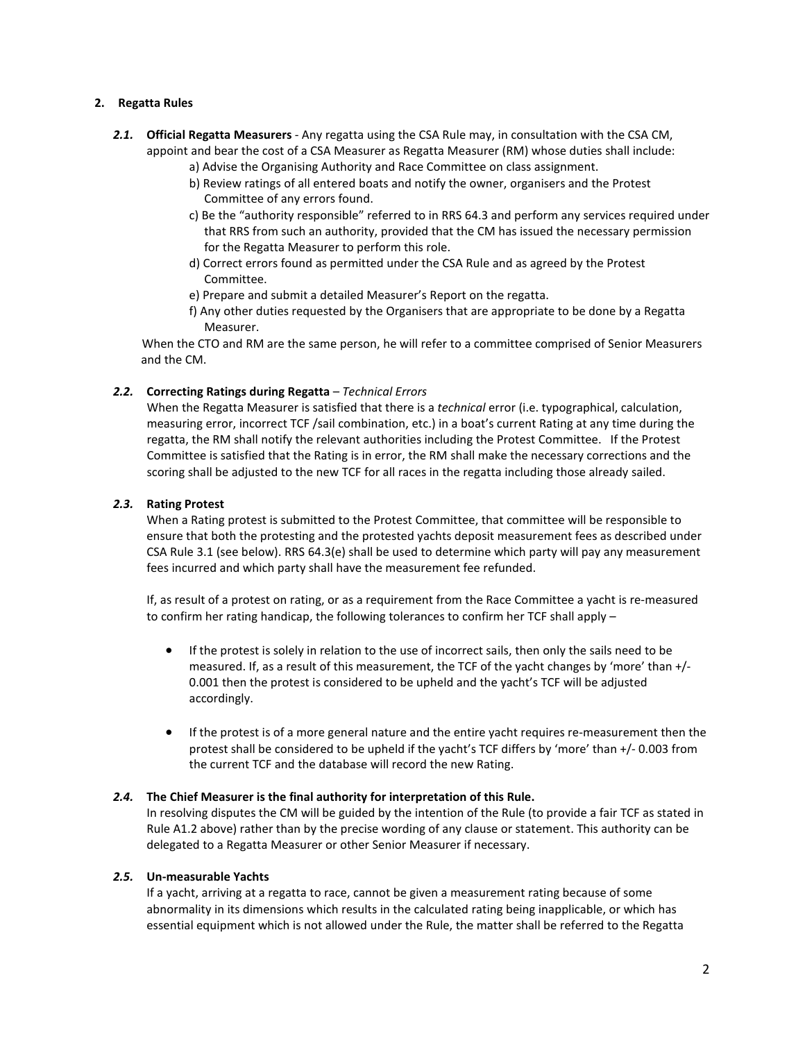#### **2. Regatta Rules**

- *2.1.* **Official Regatta Measurers** Any regatta using the CSA Rule may, in consultation with the CSA CM, appoint and bear the cost of a CSA Measurer as Regatta Measurer (RM) whose duties shall include:
	- a) Advise the Organising Authority and Race Committee on class assignment.
	- b) Review ratings of all entered boats and notify the owner, organisers and the Protest Committee of any errors found.
	- c) Be the "authority responsible" referred to in RRS 64.3 and perform any services required under that RRS from such an authority, provided that the CM has issued the necessary permission for the Regatta Measurer to perform this role.
	- d) Correct errors found as permitted under the CSA Rule and as agreed by the Protest Committee.
	- e) Prepare and submit a detailed Measurer's Report on the regatta.
	- f) Any other duties requested by the Organisers that are appropriate to be done by a Regatta Measurer.

 When the CTO and RM are the same person, he will refer to a committee comprised of Senior Measurers and the CM.

## *2.2.* **Correcting Ratings during Regatta** – *Technical Errors*

When the Regatta Measurer is satisfied that there is a *technical* error (i.e. typographical, calculation, measuring error, incorrect TCF /sail combination, etc.) in a boat's current Rating at any time during the regatta, the RM shall notify the relevant authorities including the Protest Committee. If the Protest Committee is satisfied that the Rating is in error, the RM shall make the necessary corrections and the scoring shall be adjusted to the new TCF for all races in the regatta including those already sailed.

#### *2.3.* **Rating Protest**

When a Rating protest is submitted to the Protest Committee, that committee will be responsible to ensure that both the protesting and the protested yachts deposit measurement fees as described under CSA Rule 3.1 (see below). RRS 64.3(e) shall be used to determine which party will pay any measurement fees incurred and which party shall have the measurement fee refunded.

If, as result of a protest on rating, or as a requirement from the Race Committee a yacht is re-measured to confirm her rating handicap, the following tolerances to confirm her TCF shall apply –

- If the protest is solely in relation to the use of incorrect sails, then only the sails need to be measured. If, as a result of this measurement, the TCF of the yacht changes by 'more' than +/- 0.001 then the protest is considered to be upheld and the yacht's TCF will be adjusted accordingly.
- If the protest is of a more general nature and the entire yacht requires re-measurement then the protest shall be considered to be upheld if the yacht's TCF differs by 'more' than +/- 0.003 from the current TCF and the database will record the new Rating.

#### *2.4.* **The Chief Measurer is the final authority for interpretation of this Rule.**

In resolving disputes the CM will be guided by the intention of the Rule (to provide a fair TCF as stated in Rule A1.2 above) rather than by the precise wording of any clause or statement. This authority can be delegated to a Regatta Measurer or other Senior Measurer if necessary.

## *2.5.* **Un-measurable Yachts**

If a yacht, arriving at a regatta to race, cannot be given a measurement rating because of some abnormality in its dimensions which results in the calculated rating being inapplicable, or which has essential equipment which is not allowed under the Rule, the matter shall be referred to the Regatta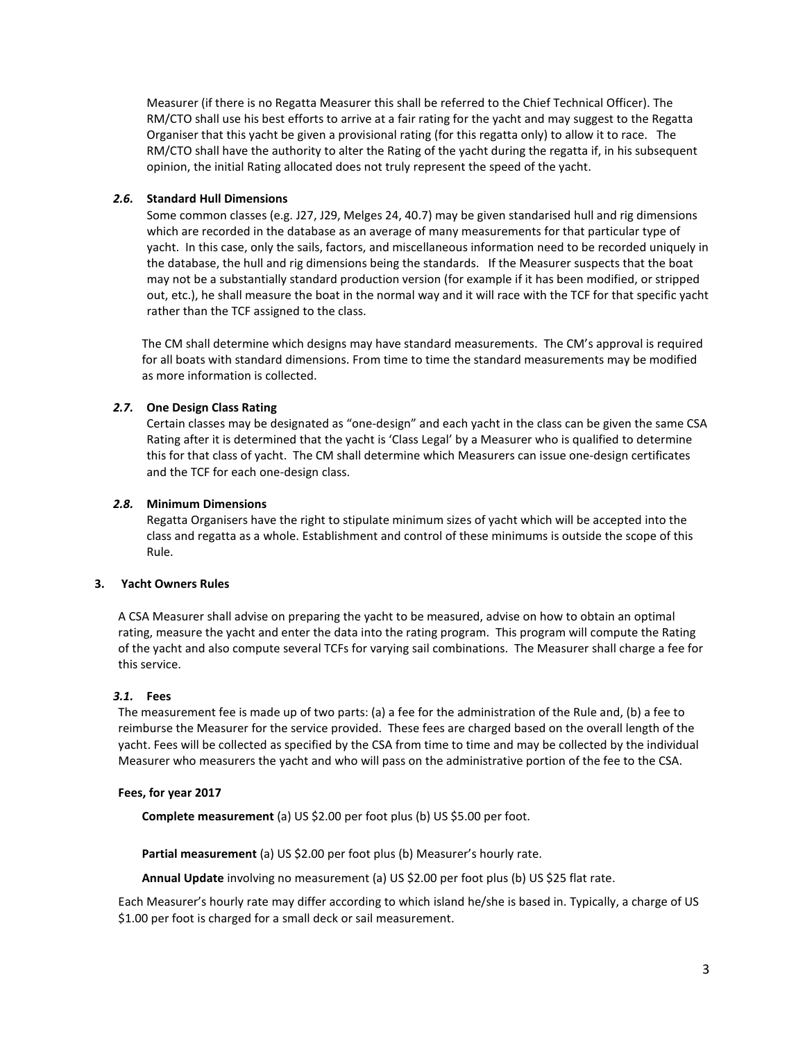Measurer (if there is no Regatta Measurer this shall be referred to the Chief Technical Officer). The RM/CTO shall use his best efforts to arrive at a fair rating for the yacht and may suggest to the Regatta Organiser that this yacht be given a provisional rating (for this regatta only) to allow it to race. The RM/CTO shall have the authority to alter the Rating of the yacht during the regatta if, in his subsequent opinion, the initial Rating allocated does not truly represent the speed of the yacht.

## *2.6.* **Standard Hull Dimensions**

Some common classes (e.g. J27, J29, Melges 24, 40.7) may be given standarised hull and rig dimensions which are recorded in the database as an average of many measurements for that particular type of yacht. In this case, only the sails, factors, and miscellaneous information need to be recorded uniquely in the database, the hull and rig dimensions being the standards. If the Measurer suspects that the boat may not be a substantially standard production version (for example if it has been modified, or stripped out, etc.), he shall measure the boat in the normal way and it will race with the TCF for that specific yacht rather than the TCF assigned to the class.

The CM shall determine which designs may have standard measurements. The CM's approval is required for all boats with standard dimensions. From time to time the standard measurements may be modified as more information is collected.

# *2.7.* **One Design Class Rating**

Certain classes may be designated as "one-design" and each yacht in the class can be given the same CSA Rating after it is determined that the yacht is 'Class Legal' by a Measurer who is qualified to determine this for that class of yacht. The CM shall determine which Measurers can issue one-design certificates and the TCF for each one-design class.

## *2.8.* **Minimum Dimensions**

Regatta Organisers have the right to stipulate minimum sizes of yacht which will be accepted into the class and regatta as a whole. Establishment and control of these minimums is outside the scope of this Rule.

## **3. Yacht Owners Rules**

A CSA Measurer shall advise on preparing the yacht to be measured, advise on how to obtain an optimal rating, measure the yacht and enter the data into the rating program. This program will compute the Rating of the yacht and also compute several TCFs for varying sail combinations. The Measurer shall charge a fee for this service.

## *3.1.* **Fees**

The measurement fee is made up of two parts: (a) a fee for the administration of the Rule and, (b) a fee to reimburse the Measurer for the service provided. These fees are charged based on the overall length of the yacht. Fees will be collected as specified by the CSA from time to time and may be collected by the individual Measurer who measurers the yacht and who will pass on the administrative portion of the fee to the CSA.

## **Fees, for year 2017**

**Complete measurement** (a) US \$2.00 per foot plus (b) US \$5.00 per foot.

**Partial measurement** (a) US \$2.00 per foot plus (b) Measurer's hourly rate.

**Annual Update** involving no measurement (a) US \$2.00 per foot plus (b) US \$25 flat rate.

Each Measurer's hourly rate may differ according to which island he/she is based in. Typically, a charge of US \$1.00 per foot is charged for a small deck or sail measurement.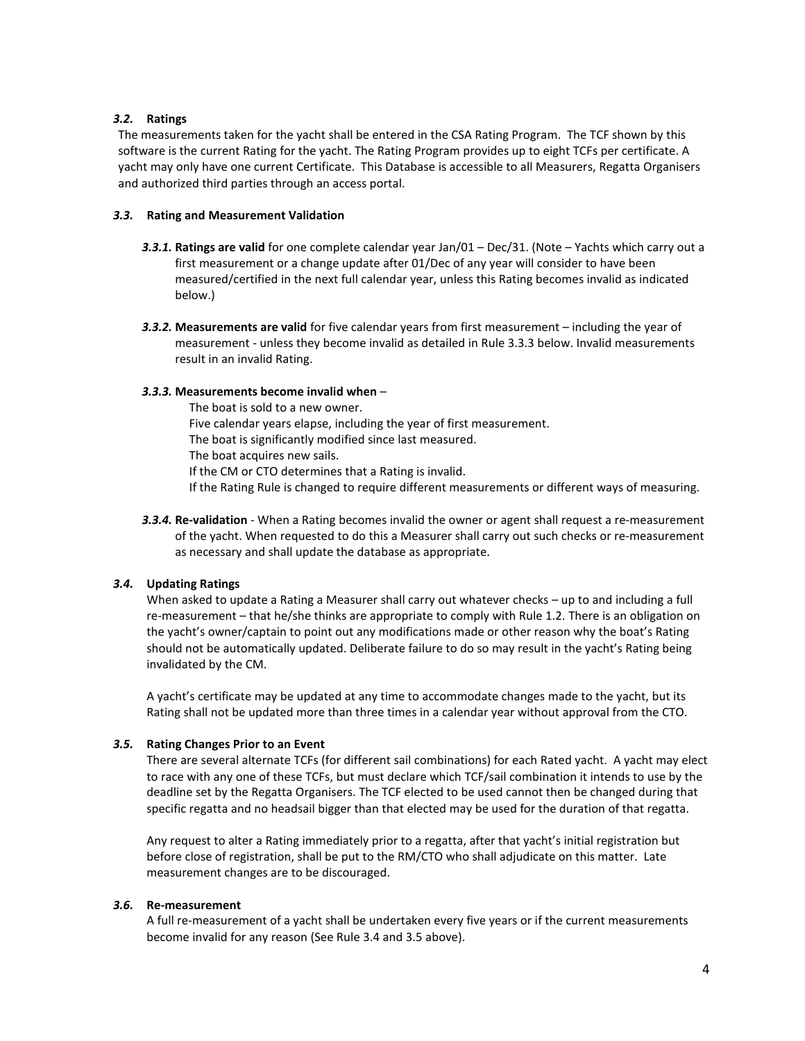#### *3.2.* **Ratings**

The measurements taken for the yacht shall be entered in the CSA Rating Program. The TCF shown by this software is the current Rating for the yacht. The Rating Program provides up to eight TCFs per certificate. A yacht may only have one current Certificate. This Database is accessible to all Measurers, Regatta Organisers and authorized third parties through an access portal.

#### *3.3.* **Rating and Measurement Validation**

- *3.3.1.* **Ratings are valid** for one complete calendar year Jan/01 Dec/31. (Note Yachts which carry out a first measurement or a change update after 01/Dec of any year will consider to have been measured/certified in the next full calendar year, unless this Rating becomes invalid as indicated below.)
- *3.3.2.* **Measurements are valid** for five calendar years from first measurement including the year of measurement - unless they become invalid as detailed in Rule 3.3.3 below. Invalid measurements result in an invalid Rating.

#### *3.3.3.* **Measurements become invalid when** –

The boat is sold to a new owner. Five calendar years elapse, including the year of first measurement. The boat is significantly modified since last measured. The boat acquires new sails. If the CM or CTO determines that a Rating is invalid. If the Rating Rule is changed to require different measurements or different ways of measuring.

*3.3.4.* **Re-validation** - When a Rating becomes invalid the owner or agent shall request a re-measurement of the yacht. When requested to do this a Measurer shall carry out such checks or re-measurement as necessary and shall update the database as appropriate.

## *3.4.* **Updating Ratings**

When asked to update a Rating a Measurer shall carry out whatever checks – up to and including a full re-measurement – that he/she thinks are appropriate to comply with Rule 1.2. There is an obligation on the yacht's owner/captain to point out any modifications made or other reason why the boat's Rating should not be automatically updated. Deliberate failure to do so may result in the yacht's Rating being invalidated by the CM.

A yacht's certificate may be updated at any time to accommodate changes made to the yacht, but its Rating shall not be updated more than three times in a calendar year without approval from the CTO.

## *3.5.* **Rating Changes Prior to an Event**

There are several alternate TCFs (for different sail combinations) for each Rated yacht. A yacht may elect to race with any one of these TCFs, but must declare which TCF/sail combination it intends to use by the deadline set by the Regatta Organisers. The TCF elected to be used cannot then be changed during that specific regatta and no headsail bigger than that elected may be used for the duration of that regatta.

Any request to alter a Rating immediately prior to a regatta, after that yacht's initial registration but before close of registration, shall be put to the RM/CTO who shall adjudicate on this matter. Late measurement changes are to be discouraged.

## *3.6.* **Re-measurement**

A full re-measurement of a yacht shall be undertaken every five years or if the current measurements become invalid for any reason (See Rule 3.4 and 3.5 above).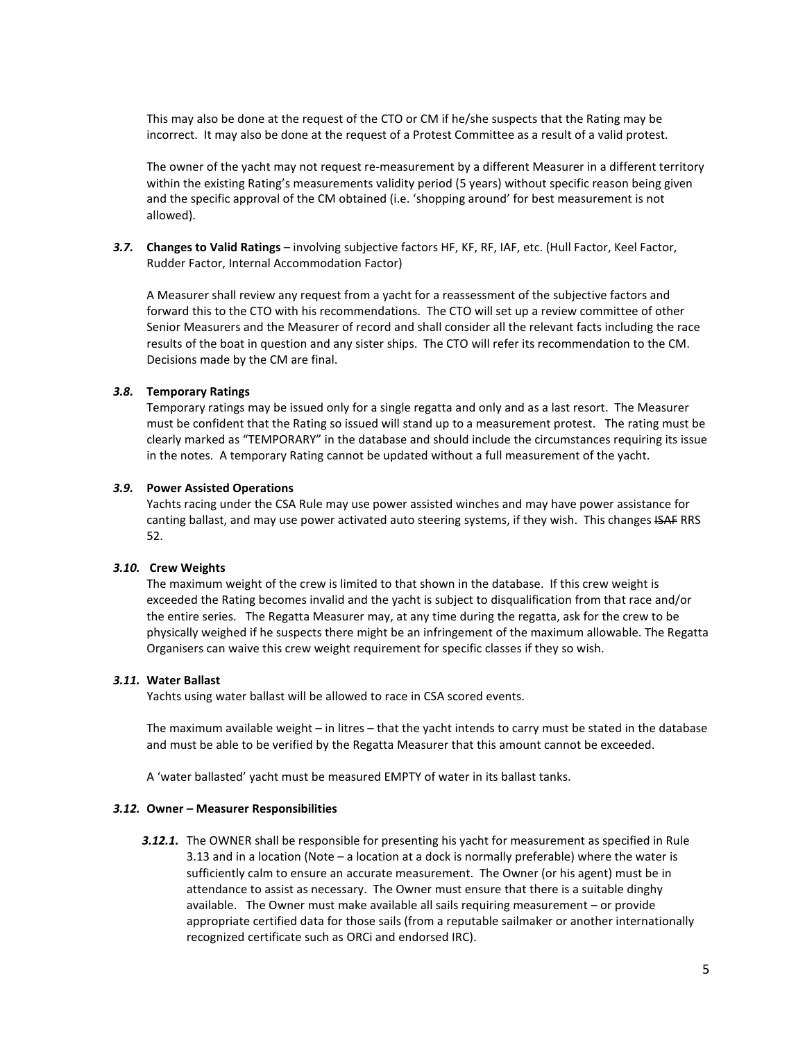This may also be done at the request of the CTO or CM if he/she suspects that the Rating may be incorrect. It may also be done at the request of a Protest Committee as a result of a valid protest.

The owner of the yacht may not request re-measurement by a different Measurer in a different territory within the existing Rating's measurements validity period (5 years) without specific reason being given and the specific approval of the CM obtained (i.e. 'shopping around' for best measurement is not allowed).

*3.7.* **Changes to Valid Ratings** – involving subjective factors HF, KF, RF, IAF, etc. (Hull Factor, Keel Factor, Rudder Factor, Internal Accommodation Factor)

A Measurer shall review any request from a yacht for a reassessment of the subjective factors and forward this to the CTO with his recommendations. The CTO will set up a review committee of other Senior Measurers and the Measurer of record and shall consider all the relevant facts including the race results of the boat in question and any sister ships. The CTO will refer its recommendation to the CM. Decisions made by the CM are final.

#### *3.8.* **Temporary Ratings**

Temporary ratings may be issued only for a single regatta and only and as a last resort. The Measurer must be confident that the Rating so issued will stand up to a measurement protest. The rating must be clearly marked as "TEMPORARY" in the database and should include the circumstances requiring its issue in the notes. A temporary Rating cannot be updated without a full measurement of the yacht.

#### *3.9.* **Power Assisted Operations**

Yachts racing under the CSA Rule may use power assisted winches and may have power assistance for canting ballast, and may use power activated auto steering systems, if they wish. This changes ISAF RRS 52.

#### *3.10.* **Crew Weights**

The maximum weight of the crew is limited to that shown in the database. If this crew weight is exceeded the Rating becomes invalid and the yacht is subject to disqualification from that race and/or the entire series. The Regatta Measurer may, at any time during the regatta, ask for the crew to be physically weighed if he suspects there might be an infringement of the maximum allowable. The Regatta Organisers can waive this crew weight requirement for specific classes if they so wish.

#### *3.11.* **Water Ballast**

Yachts using water ballast will be allowed to race in CSA scored events.

The maximum available weight – in litres – that the yacht intends to carry must be stated in the database and must be able to be verified by the Regatta Measurer that this amount cannot be exceeded.

A 'water ballasted' yacht must be measured EMPTY of water in its ballast tanks.

#### *3.12.* **Owner – Measurer Responsibilities**

*3.12.1.* The OWNER shall be responsible for presenting his yacht for measurement as specified in Rule 3.13 and in a location (Note – a location at a dock is normally preferable) where the water is sufficiently calm to ensure an accurate measurement. The Owner (or his agent) must be in attendance to assist as necessary. The Owner must ensure that there is a suitable dinghy available. The Owner must make available all sails requiring measurement – or provide appropriate certified data for those sails (from a reputable sailmaker or another internationally recognized certificate such as ORCi and endorsed IRC).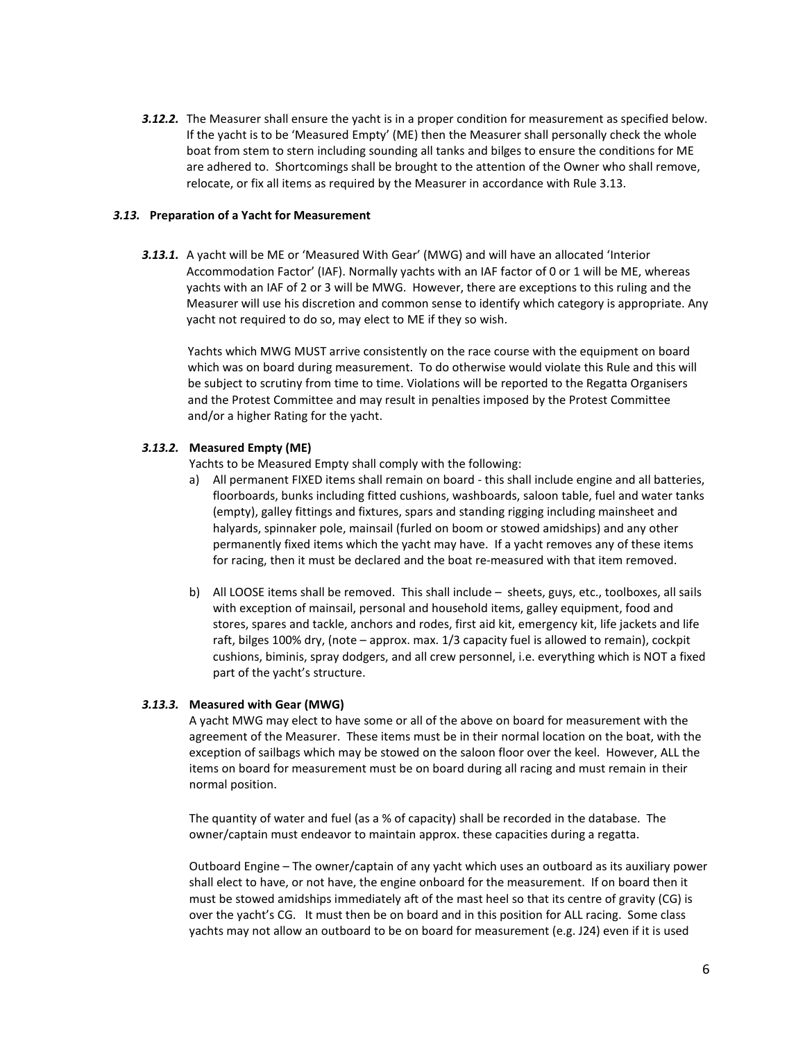**3.12.2.** The Measurer shall ensure the yacht is in a proper condition for measurement as specified below. If the yacht is to be 'Measured Empty' (ME) then the Measurer shall personally check the whole boat from stem to stern including sounding all tanks and bilges to ensure the conditions for ME are adhered to. Shortcomings shall be brought to the attention of the Owner who shall remove, relocate, or fix all items as required by the Measurer in accordance with Rule 3.13.

#### *3.13.* **Preparation of a Yacht for Measurement**

*3.13.1.* A yacht will be ME or 'Measured With Gear' (MWG) and will have an allocated 'Interior Accommodation Factor' (IAF). Normally yachts with an IAF factor of 0 or 1 will be ME, whereas yachts with an IAF of 2 or 3 will be MWG. However, there are exceptions to this ruling and the Measurer will use his discretion and common sense to identify which category is appropriate. Any yacht not required to do so, may elect to ME if they so wish.

Yachts which MWG MUST arrive consistently on the race course with the equipment on board which was on board during measurement. To do otherwise would violate this Rule and this will be subject to scrutiny from time to time. Violations will be reported to the Regatta Organisers and the Protest Committee and may result in penalties imposed by the Protest Committee and/or a higher Rating for the yacht.

## *3.13.2.* **Measured Empty (ME)**

Yachts to be Measured Empty shall comply with the following:

- a) All permanent FIXED items shall remain on board this shall include engine and all batteries, floorboards, bunks including fitted cushions, washboards, saloon table, fuel and water tanks (empty), galley fittings and fixtures, spars and standing rigging including mainsheet and halyards, spinnaker pole, mainsail (furled on boom or stowed amidships) and any other permanently fixed items which the yacht may have. If a yacht removes any of these items for racing, then it must be declared and the boat re-measured with that item removed.
- b) All LOOSE items shall be removed. This shall include sheets, guys, etc., toolboxes, all sails with exception of mainsail, personal and household items, galley equipment, food and stores, spares and tackle, anchors and rodes, first aid kit, emergency kit, life jackets and life raft, bilges 100% dry, (note – approx. max. 1/3 capacity fuel is allowed to remain), cockpit cushions, biminis, spray dodgers, and all crew personnel, i.e. everything which is NOT a fixed part of the yacht's structure.

## *3.13.3.* **Measured with Gear (MWG)**

A yacht MWG may elect to have some or all of the above on board for measurement with the agreement of the Measurer. These items must be in their normal location on the boat, with the exception of sailbags which may be stowed on the saloon floor over the keel. However, ALL the items on board for measurement must be on board during all racing and must remain in their normal position.

The quantity of water and fuel (as a % of capacity) shall be recorded in the database. The owner/captain must endeavor to maintain approx. these capacities during a regatta.

Outboard Engine – The owner/captain of any yacht which uses an outboard as its auxiliary power shall elect to have, or not have, the engine onboard for the measurement. If on board then it must be stowed amidships immediately aft of the mast heel so that its centre of gravity (CG) is over the yacht's CG. It must then be on board and in this position for ALL racing. Some class yachts may not allow an outboard to be on board for measurement (e.g. J24) even if it is used